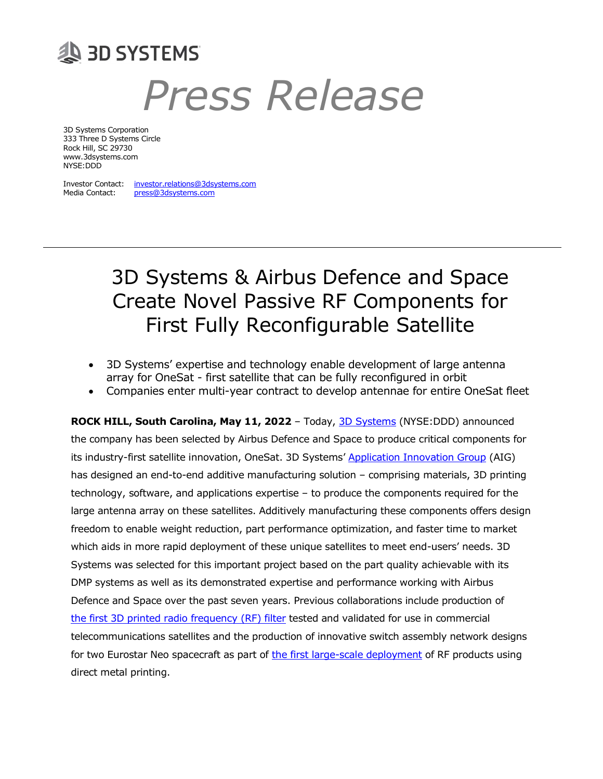

Press Release

3D Systems Corporation 333 Three D Systems Circle Rock Hill, SC 29730 www.3dsystems.com NYSE:DDD

Investor Contact: investor.relations@3dsystems.com Media Contact: press@3dsystems.com

# 3D Systems & Airbus Defence and Space Create Novel Passive RF Components for First Fully Reconfigurable Satellite

- 3D Systems' expertise and technology enable development of large antenna array for OneSat - first satellite that can be fully reconfigured in orbit
- Companies enter multi-year contract to develop antennae for entire OneSat fleet

ROCK HILL, South Carolina, May 11, 2022 - Today, 3D Systems (NYSE:DDD) announced the company has been selected by Airbus Defence and Space to produce critical components for its industry-first satellite innovation, OneSat. 3D Systems' Application Innovation Group (AIG) has designed an end-to-end additive manufacturing solution – comprising materials, 3D printing technology, software, and applications expertise – to produce the components required for the large antenna array on these satellites. Additively manufacturing these components offers design freedom to enable weight reduction, part performance optimization, and faster time to market which aids in more rapid deployment of these unique satellites to meet end-users' needs. 3D Systems was selected for this important project based on the part quality achievable with its DMP systems as well as its demonstrated expertise and performance working with Airbus Defence and Space over the past seven years. Previous collaborations include production of the first 3D printed radio frequency (RF) filter tested and validated for use in commercial telecommunications satellites and the production of innovative switch assembly network designs for two Eurostar Neo spacecraft as part of the first large-scale deployment of RF products using direct metal printing.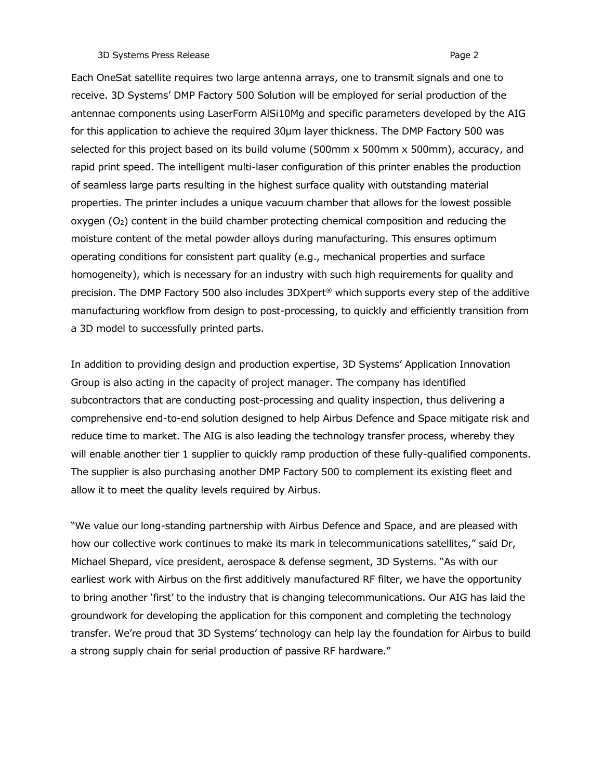### 3D Systems Press Release **Page 2** and the system of the system of the system of the system of the system of the system of the system of the system of the system of the system of the system of the system of the system of th

Each OneSat satellite requires two large antenna arrays, one to transmit signals and one to receive. 3D Systems' DMP Factory 500 Solution will be employed for serial production of the antennae components using LaserForm AlSi10Mg and specific parameters developed by the AIG for this application to achieve the required 30µm layer thickness. The DMP Factory 500 was selected for this project based on its build volume (500mm x 500mm x 500mm), accuracy, and rapid print speed. The intelligent multi-laser configuration of this printer enables the production of seamless large parts resulting in the highest surface quality with outstanding material properties. The printer includes a unique vacuum chamber that allows for the lowest possible  $oxygen (O<sub>2</sub>)$  content in the build chamber protecting chemical composition and reducing the moisture content of the metal powder alloys during manufacturing. This ensures optimum operating conditions for consistent part quality (e.g., mechanical properties and surface homogeneity), which is necessary for an industry with such high requirements for quality and precision. The DMP Factory 500 also includes 3DXpert® which supports every step of the additive manufacturing workflow from design to post-processing, to quickly and efficiently transition from a 3D model to successfully printed parts.

In addition to providing design and production expertise, 3D Systems' Application Innovation Group is also acting in the capacity of project manager. The company has identified subcontractors that are conducting post-processing and quality inspection, thus delivering a comprehensive end-to-end solution designed to help Airbus Defence and Space mitigate risk and reduce time to market. The AIG is also leading the technology transfer process, whereby they will enable another tier 1 supplier to quickly ramp production of these fully-qualified components. The supplier is also purchasing another DMP Factory 500 to complement its existing fleet and allow it to meet the quality levels required by Airbus.

"We value our long-standing partnership with Airbus Defence and Space, and are pleased with how our collective work continues to make its mark in telecommunications satellites," said Dr, Michael Shepard, vice president, aerospace & defense segment, 3D Systems. "As with our earliest work with Airbus on the first additively manufactured RF filter, we have the opportunity to bring another 'first' to the industry that is changing telecommunications. Our AIG has laid the groundwork for developing the application for this component and completing the technology transfer. We're proud that 3D Systems' technology can help lay the foundation for Airbus to build a strong supply chain for serial production of passive RF hardware."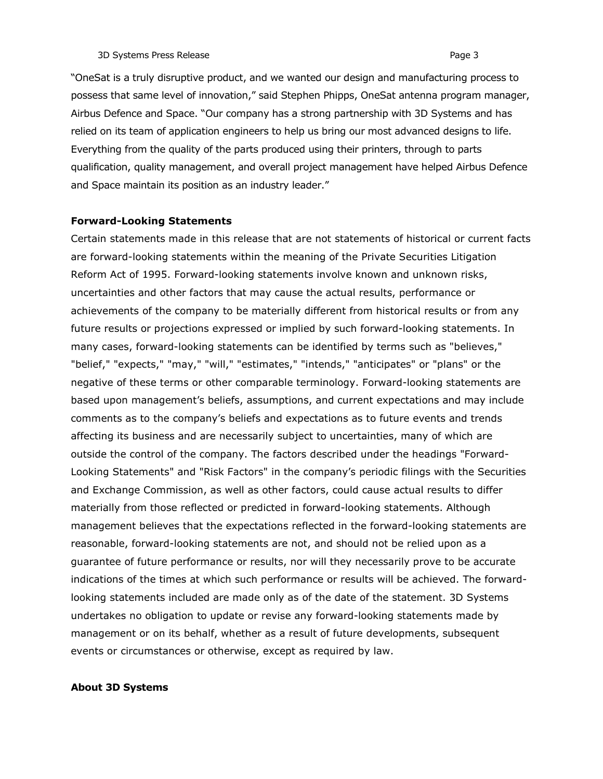"OneSat is a truly disruptive product, and we wanted our design and manufacturing process to possess that same level of innovation," said Stephen Phipps, OneSat antenna program manager, Airbus Defence and Space. "Our company has a strong partnership with 3D Systems and has relied on its team of application engineers to help us bring our most advanced designs to life. Everything from the quality of the parts produced using their printers, through to parts qualification, quality management, and overall project management have helped Airbus Defence and Space maintain its position as an industry leader."

### Forward-Looking Statements

Certain statements made in this release that are not statements of historical or current facts are forward-looking statements within the meaning of the Private Securities Litigation Reform Act of 1995. Forward-looking statements involve known and unknown risks, uncertainties and other factors that may cause the actual results, performance or achievements of the company to be materially different from historical results or from any future results or projections expressed or implied by such forward-looking statements. In many cases, forward-looking statements can be identified by terms such as "believes," "belief," "expects," "may," "will," "estimates," "intends," "anticipates" or "plans" or the negative of these terms or other comparable terminology. Forward-looking statements are based upon management's beliefs, assumptions, and current expectations and may include comments as to the company's beliefs and expectations as to future events and trends affecting its business and are necessarily subject to uncertainties, many of which are outside the control of the company. The factors described under the headings "Forward-Looking Statements" and "Risk Factors" in the company's periodic filings with the Securities and Exchange Commission, as well as other factors, could cause actual results to differ materially from those reflected or predicted in forward-looking statements. Although management believes that the expectations reflected in the forward-looking statements are reasonable, forward-looking statements are not, and should not be relied upon as a guarantee of future performance or results, nor will they necessarily prove to be accurate indications of the times at which such performance or results will be achieved. The forwardlooking statements included are made only as of the date of the statement. 3D Systems undertakes no obligation to update or revise any forward-looking statements made by management or on its behalf, whether as a result of future developments, subsequent events or circumstances or otherwise, except as required by law.

## About 3D Systems